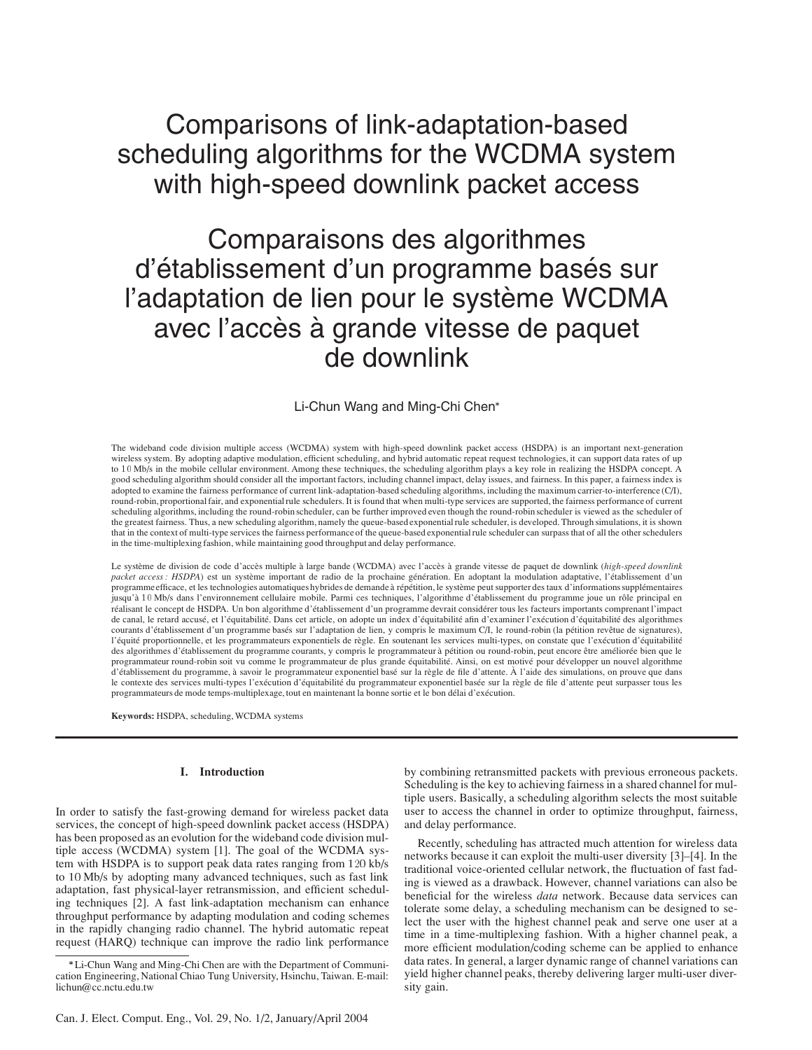Comparisons of link-adaptation-based scheduling algorithms for the WCDMA system with high-speed downlink packet access

# Comparaisons des algorithmes d'établissement d'un programme basés sur l'adaptation de lien pour le système WCDMA avec l'accès à grande vitesse de paquet de downlink

# Li-Chun Wang and Ming-Chi Chen

The wideband code division multiple access (WCDMA) system with high-speed downlink packet access (HSDPA) is an important next-generation wireless system. By adopting adaptive modulation, efficient scheduling, and hybrid automatic repeat request technologies, it can support data rates of up to 10 Mb/s in the mobile cellular environment. Among these techniques, the scheduling algorithm plays a key role in realizing the HSDPA concept. A good scheduling algorithm should consider all the important factors, including channel impact, delay issues, and fairness. In this paper, a fairness index is adopted to examine the fairness performance of current link-adaptation-based scheduling algorithms, including the maximum carrier-to-interference (C/I), round-robin, proportional fair, and exponential rule schedulers. It is found that when multi-type services are supported, the fairness performance of current scheduling algorithms, including the round-robin scheduler, can be further improved even though the round-robin scheduler is viewed as the scheduler of the greatest fairness. Thus, a new scheduling algorithm, namely the queue-based exponential rule scheduler, is developed. Through simulations, it is shown that in the context of multi-type services the fairness performance of the queue-based exponential rule scheduler can surpass that of all the other schedulers in the time-multiplexing fashion, while maintaining good throughput and delay performance.

Le système de division de code d'accès multiple à large bande (WCDMA) avec l'accès à grande vitesse de paquet de downlink (high-speed downlink packet access : HSDPA) est un système important de radio de la prochaine génération. En adoptant la modulation adaptative, l'établissement d'un programmeefficace, et les technologies automatiques hybrides de demande à répétition, le système peut supporter des taux d'informations supplémentaires jusqu'à 10 Mb/s dans l'environnement cellulaire mobile. Parmi ces techniques, l'algorithme d'établissement du programme joue un rôle principal en réalisant le concept de HSDPA. Un bon algorithme d'établissement d'un programme devrait considérer tous les facteurs importants comprenant l'impact de canal, le retard accusé, et l'équitabilité. Dans cet article, on adopte un index d'équitabilité afin d'examiner l'exécution d'équitabilité des algorithmes courants d'établissement d'un programme basés sur l'adaptation de lien, y compris le maximum C/I, le round-robin (la pétition revêtue de signatures), l'équité proportionnelle, et les programmateurs exponentiels de règle. En soutenant les services multi-types, on constate que l'exécution d'équitabilité des algorithmes d'établissement du programme courants, y compris le programmateur à pétition ou round-robin, peut encore être améliorée bien que le programmateur round-robin soit vu comme le programmateur de plus grande équitabilité. Ainsi, on est motivé pour développer un nouvel algorithme d'établissement du programme, à savoir le programmateur exponentiel basé sur la règle de file d'attente. À l'aide des simulations, on prouve que dans le contexte des services multi-types l'exécution d'équitabilité du programmateur exponentiel basée sur la règle de file d'attente peut surpasser tous les programmateurs de mode temps-multiplexage, tout en maintenant la bonne sortie et le bon délai d'exécution.

**Keywords:** HSDPA, scheduling, WCDMA systems

## **I. Introduction**

In order to satisfy the fast-growing demand for wireless packet data services, the concept of high-speed downlink packet access (HSDPA) has been proposed as an evolution for the wideband code division multiple access (WCDMA) system [1]. The goal of the WCDMA system with HSDPA is to support peak data rates ranging from 120 kb/s to 10 Mb/s by adopting many advanced techniques, such as fast link adaptation, fast physical-layer retransmission, and efficient scheduling techniques [2]. A fast link-adaptation mechanism can enhance throughput performance by adapting modulation and coding schemes in the rapidly changing radio channel. The hybrid automatic repeat request (HARQ) technique can improve the radio link performance

by combining retransmitted packets with previous erroneous packets. Scheduling is the key to achieving fairness in a shared channel for multiple users. Basically, a scheduling algorithm selects the most suitable user to access the channel in order to optimize throughput, fairness, and delay performance.

Recently, scheduling has attracted much attention for wireless data networks because it can exploit the multi-user diversity [3]–[4]. In the traditional voice-oriented cellular network, the fluctuation of fast fading is viewed as a drawback. However, channel variations can also be beneficial for the wireless *data* network. Because data services can tolerate some delay, a scheduling mechanism can be designed to select the user with the highest channel peak and serve one user at a time in a time-multiplexing fashion. With a higher channel peak, a more efficient modulation/coding scheme can be applied to enhance data rates. In general, a larger dynamic range of channel variations can yield higher channel peaks, thereby delivering larger multi-user diversity gain.

Li-Chun Wang and Ming-Chi Chen are with the Department of Communication Engineering, National Chiao Tung University, Hsinchu, Taiwan. E-mail: lichun@cc.nctu.edu.tw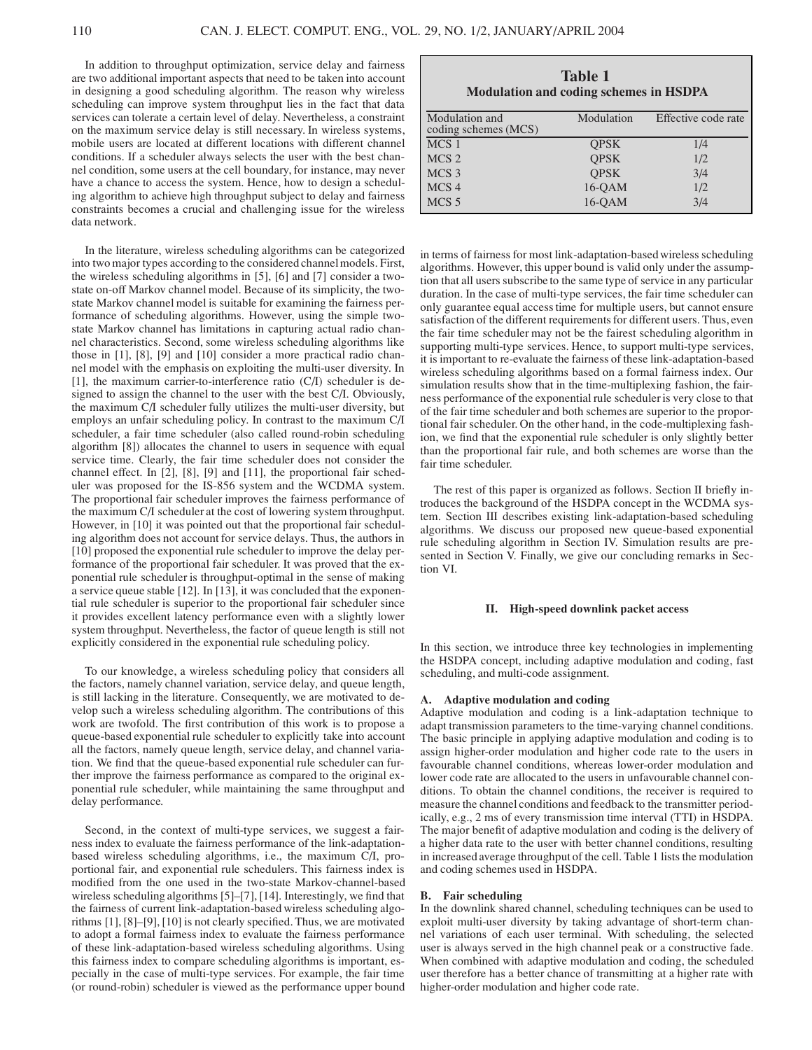In addition to throughput optimization, service delay and fairness are two additional important aspects that need to be taken into account in designing a good scheduling algorithm. The reason why wireless scheduling can improve system throughput lies in the fact that data services can tolerate a certain level of delay. Nevertheless, a constraint on the maximum service delay is still necessary. In wireless systems, mobile users are located at different locations with different channel conditions. If a scheduler always selects the user with the best channel condition, some users at the cell boundary, for instance, may never have a chance to access the system. Hence, how to design a scheduling algorithm to achieve high throughput subject to delay and fairness constraints becomes a crucial and challenging issue for the wireless data network.

In the literature, wireless scheduling algorithms can be categorized into two major types according to the considered channel models. First, the wireless scheduling algorithms in [5], [6] and [7] consider a twostate on-off Markov channel model. Because of its simplicity, the twostate Markov channel model is suitable for examining the fairness performance of scheduling algorithms. However, using the simple twostate Markov channel has limitations in capturing actual radio channel characteristics. Second, some wireless scheduling algorithms like those in [1], [8], [9] and [10] consider a more practical radio channel model with the emphasis on exploiting the multi-user diversity. In [1], the maximum carrier-to-interference ratio  $(C/I)$  scheduler is designed to assign the channel to the user with the best C/I. Obviously, the maximum C/I scheduler fully utilizes the multi-user diversity, but employs an unfair scheduling policy. In contrast to the maximum C/I scheduler, a fair time scheduler (also called round-robin scheduling algorithm [8]) allocates the channel to users in sequence with equal service time. Clearly, the fair time scheduler does not consider the channel effect. In [2], [8], [9] and [11], the proportional fair scheduler was proposed for the IS-856 system and the WCDMA system. The proportional fair scheduler improves the fairness performance of the maximum C/I scheduler at the cost of lowering system throughput. However, in [10] it was pointed out that the proportional fair scheduling algorithm does not account for service delays. Thus, the authors in [10] proposed the exponential rule scheduler to improve the delay performance of the proportional fair scheduler. It was proved that the exponential rule scheduler is throughput-optimal in the sense of making a service queue stable [12]. In [13], it was concluded that the exponential rule scheduler is superior to the proportional fair scheduler since it provides excellent latency performance even with a slightly lower system throughput. Nevertheless, the factor of queue length is still not explicitly considered in the exponential rule scheduling policy.

To our knowledge, a wireless scheduling policy that considers all the factors, namely channel variation, service delay, and queue length, is still lacking in the literature. Consequently, we are motivated to develop such a wireless scheduling algorithm. The contributions of this work are twofold. The first contribution of this work is to propose a queue-based exponential rule scheduler to explicitly take into account all the factors, namely queue length, service delay, and channel variation. We find that the queue-based exponential rule scheduler can further improve the fairness performance as compared to the original exponential rule scheduler, while maintaining the same throughput and delay performance.

Second, in the context of multi-type services, we suggest a fairness index to evaluate the fairness performance of the link-adaptationbased wireless scheduling algorithms, i.e., the maximum C/I, proportional fair, and exponential rule schedulers. This fairness index is modified from the one used in the two-state Markov-channel-based wireless scheduling algorithms [5]–[7], [14]. Interestingly, we find that the fairness of current link-adaptation-based wireless scheduling algorithms [1], [8]–[9], [10] is not clearly specified. Thus, we are motivated to adopt a formal fairness index to evaluate the fairness performance of these link-adaptation-based wireless scheduling algorithms. Using this fairness index to compare scheduling algorithms is important, especially in the case of multi-type services. For example, the fair time (or round-robin) scheduler is viewed as the performance upper bound

**Table 1 Modulation and coding schemes in HSDPA**

| Modulation and<br>coding schemes (MCS) | Modulation  | Effective code rate |
|----------------------------------------|-------------|---------------------|
|                                        |             |                     |
| MCS <sub>1</sub>                       | <b>QPSK</b> | 1/4                 |
| MCS <sub>2</sub>                       | <b>OPSK</b> | 1/2                 |
| MCS <sub>3</sub>                       | <b>OPSK</b> | 3/4                 |
| MCS <sub>4</sub>                       | $16-QAM$    | 1/2                 |
| MCS <sub>5</sub>                       | $16$ -OAM   | 3/4                 |

in terms of fairness for most link-adaptation-based wireless scheduling algorithms. However, this upper bound is valid only under the assumption that all users subscribe to the same type of service in any particular duration. In the case of multi-type services, the fair time scheduler can only guarantee equal access time for multiple users, but cannot ensure satisfaction of the different requirements for different users. Thus, even the fair time scheduler may not be the fairest scheduling algorithm in supporting multi-type services. Hence, to support multi-type services, it is important to re-evaluate the fairness of these link-adaptation-based wireless scheduling algorithms based on a formal fairness index. Our simulation results show that in the time-multiplexing fashion, the fairness performance of the exponential rule scheduler is very close to that of the fair time scheduler and both schemes are superior to the proportional fair scheduler. On the other hand, in the code-multiplexing fashion, we find that the exponential rule scheduler is only slightly better than the proportional fair rule, and both schemes are worse than the fair time scheduler.

The rest of this paper is organized as follows. Section II briefly introduces the background of the HSDPA concept in the WCDMA system. Section III describes existing link-adaptation-based scheduling algorithms. We discuss our proposed new queue-based exponential rule scheduling algorithm in Section IV. Simulation results are presented in Section V. Finally, we give our concluding remarks in Section VI.

## **II. High-speed downlink packet access**

In this section, we introduce three key technologies in implementing the HSDPA concept, including adaptive modulation and coding, fast scheduling, and multi-code assignment.

#### **A. Adaptive modulation and coding**

Adaptive modulation and coding is a link-adaptation technique to adapt transmission parameters to the time-varying channel conditions. The basic principle in applying adaptive modulation and coding is to assign higher-order modulation and higher code rate to the users in favourable channel conditions, whereas lower-order modulation and lower code rate are allocated to the users in unfavourable channel conditions. To obtain the channel conditions, the receiver is required to measure the channel conditions and feedback to the transmitter periodically, e.g., 2 ms of every transmission time interval (TTI) in HSDPA. The major benefit of adaptive modulation and coding is the delivery of a higher data rate to the user with better channel conditions, resulting in increased average throughput of the cell. Table 1 lists the modulation and coding schemes used in HSDPA.

#### **B. Fair scheduling**

In the downlink shared channel, scheduling techniques can be used to exploit multi-user diversity by taking advantage of short-term channel variations of each user terminal. With scheduling, the selected user is always served in the high channel peak or a constructive fade. When combined with adaptive modulation and coding, the scheduled user therefore has a better chance of transmitting at a higher rate with higher-order modulation and higher code rate.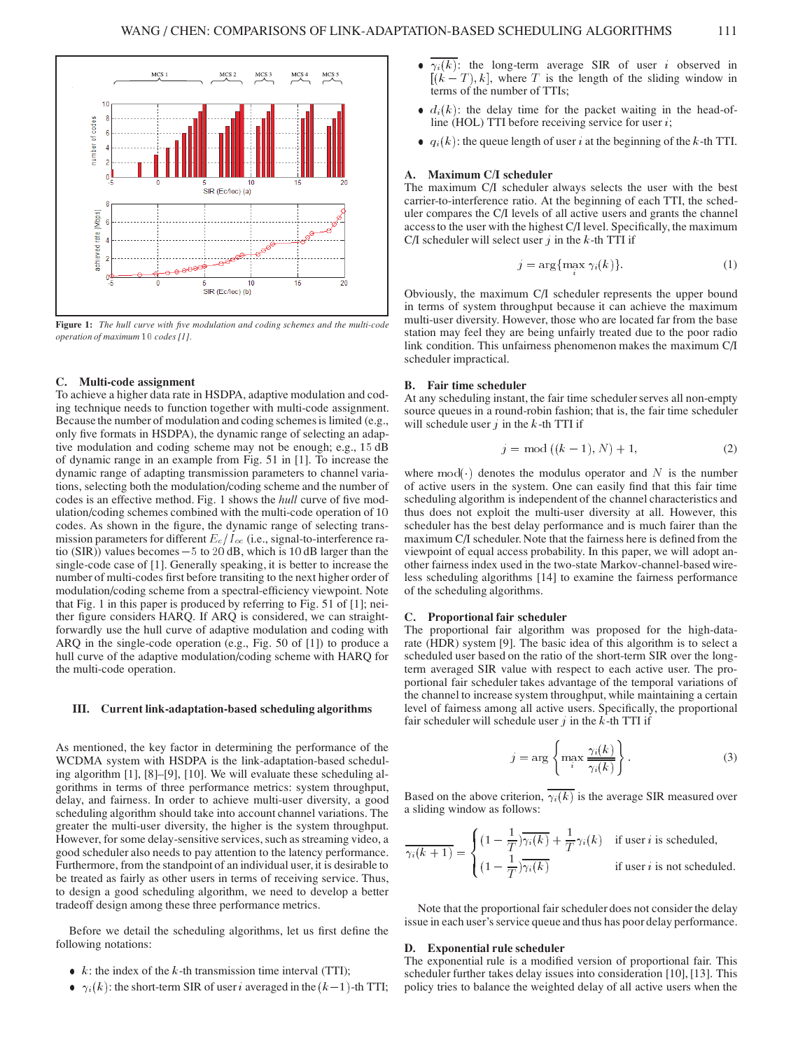

**Figure 1:** *The hull curve with five modulation and coding schemes and the multi-code operation of maximum codes [1].*

## **C. Multi-code assignment**

To achieve a higher data rate in HSDPA, adaptive modulation and coding technique needs to function together with multi-code assignment. Because the number of modulation and coding schemes is limited (e.g., only five formats in HSDPA), the dynamic range of selecting an adaptive modulation and coding scheme may not be enough; e.g., 15 dB of dynamic range in an example from Fig. 51 in [1]. To increase the dynamic range of adapting transmission parameters to channel variations, selecting both the modulation/coding scheme and the number of codes is an effective method. Fig. 1 shows the *hull* curve of five modulation/coding schemes combined with the multi-code operation of  $10$ codes. As shown in the figure, the dynamic range of selecting transmission parameters for different  $E_c/I_{oc}$  (i.e., signal-to-interference ratio (SIR)) values becomes  $-5$  to  $20$  dB, which is  $10$  dB larger than the single-code case of [1]. Generally speaking, it is better to increase the number of multi-codes first before transiting to the next higher order of modulation/coding scheme from a spectral-efficiency viewpoint. Note that Fig. 1 in this paper is produced by referring to Fig. 51 of [1]; neither figure considers HARQ. If ARQ is considered, we can straightforwardly use the hull curve of adaptive modulation and coding with ARQ in the single-code operation (e.g., Fig. 50 of [1]) to produce a hull curve of the adaptive modulation/coding scheme with HARQ for the multi-code operation.

#### **III. Current link-adaptation-based scheduling algorithms**

As mentioned, the key factor in determining the performance of the WCDMA system with HSDPA is the link-adaptation-based scheduling algorithm [1], [8]–[9], [10]. We will evaluate these scheduling algorithms in terms of three performance metrics: system throughput, delay, and fairness. In order to achieve multi-user diversity, a good scheduling algorithm should take into account channel variations. The greater the multi-user diversity, the higher is the system throughput. However, for some delay-sensitive services, such as streaming video, a good scheduler also needs to pay attention to the latency performance. Furthermore, from the standpoint of an individual user, it is desirable to be treated as fairly as other users in terms of receiving service. Thus, to design a good scheduling algorithm, we need to develop a better tradeoff design among these three performance metrics.

Before we detail the scheduling algorithms, let us first define the following notations:

- $k$ : the index of the  $k$ -th transmission time interval (TTI);
- $\bullet \ \gamma_i(k)$ : the short-term SIR of user *i* averaged in the  $(k-1)$ -th TTI;
- $\gamma_i(k)$ : the long-term average SIR of user *i* observed in  $[(k-T), k]$ , where T is the length of the sliding window in terms of the number of TTIs;
- $\bullet$   $d_i(k)$ : the delay time for the packet waiting in the head-ofline (HOL) TTI before receiving service for user  $i$ ;
- $q_i(k)$ : the queue length of user *i* at the beginning of the *k*-th TTI.

# **A. Maximum C/I scheduler**

The maximum C/I scheduler always selects the user with the best carrier-to-interference ratio. At the beginning of each TTI, the scheduler compares the C/I levels of all active users and grants the channel access to the user with the highest C/I level. Specifically, the maximum C/I scheduler will select user  $j$  in the  $k$ -th TTI if

$$
j = \arg\{\max_i \gamma_i(k)\}.
$$
 (1)

Obviously, the maximum C/I scheduler represents the upper bound in terms of system throughput because it can achieve the maximum multi-user diversity. However, those who are located far from the base station may feel they are being unfairly treated due to the poor radio link condition. This unfairness phenomenon makes the maximum C/I scheduler impractical.

## **B. Fair time scheduler**

At any scheduling instant, the fair time scheduler serves all non-empty source queues in a round-robin fashion; that is, the fair time scheduler will schedule user  $j$  in the  $k$ -th TTI if

$$
j = \text{mod}((k-1), N) + 1,\tag{2}
$$

 thus does not exploit the multi-user diversity at all. However, this where  $mod(\cdot)$  denotes the modulus operator and N is the number of active users in the system. One can easily find that this fair time scheduling algorithm is independent of the channel characteristics and scheduler has the best delay performance and is much fairer than the maximum C/I scheduler. Note that the fairness here is defined from the viewpoint of equal access probability. In this paper, we will adopt another fairness index used in the two-state Markov-channel-based wireless scheduling algorithms [14] to examine the fairness performance of the scheduling algorithms.

# **C. Proportional fair scheduler**

The proportional fair algorithm was proposed for the high-datarate (HDR) system [9]. The basic idea of this algorithm is to select a scheduled user based on the ratio of the short-term SIR over the longterm averaged SIR value with respect to each active user. The proportional fair scheduler takes advantage of the temporal variations of the channel to increase system throughput, while maintaining a certain level of fairness among all active users. Specifically, the proportional fair scheduler will schedule user  $j$  in the  $k$ -th TTI if

$$
j = \arg \left\{ \max_{i} \frac{\gamma_i(k)}{\gamma_i(k)} \right\}.
$$
 (3)

Based on the above criterion,  $\gamma_i(k)$  is the average SIR measured over a sliding window as follows:

$$
\overline{\gamma_i(k+1)} = \begin{cases} (1-\frac{1}{T})\overline{\gamma_i(k)} + \frac{1}{T}\gamma_i(k) & \text{if user } i \text{ is scheduled,} \\ (1-\frac{1}{T})\overline{\gamma_i(k)} & \text{if user } i \text{ is not scheduled.} \end{cases}
$$

Note that the proportional fair scheduler does not consider the delay issue in each user's service queue and thus has poor delay performance.

#### **D. Exponential rule scheduler**

The exponential rule is a modified version of proportional fair. This scheduler further takes delay issues into consideration [10], [13]. This policy tries to balance the weighted delay of all active users when the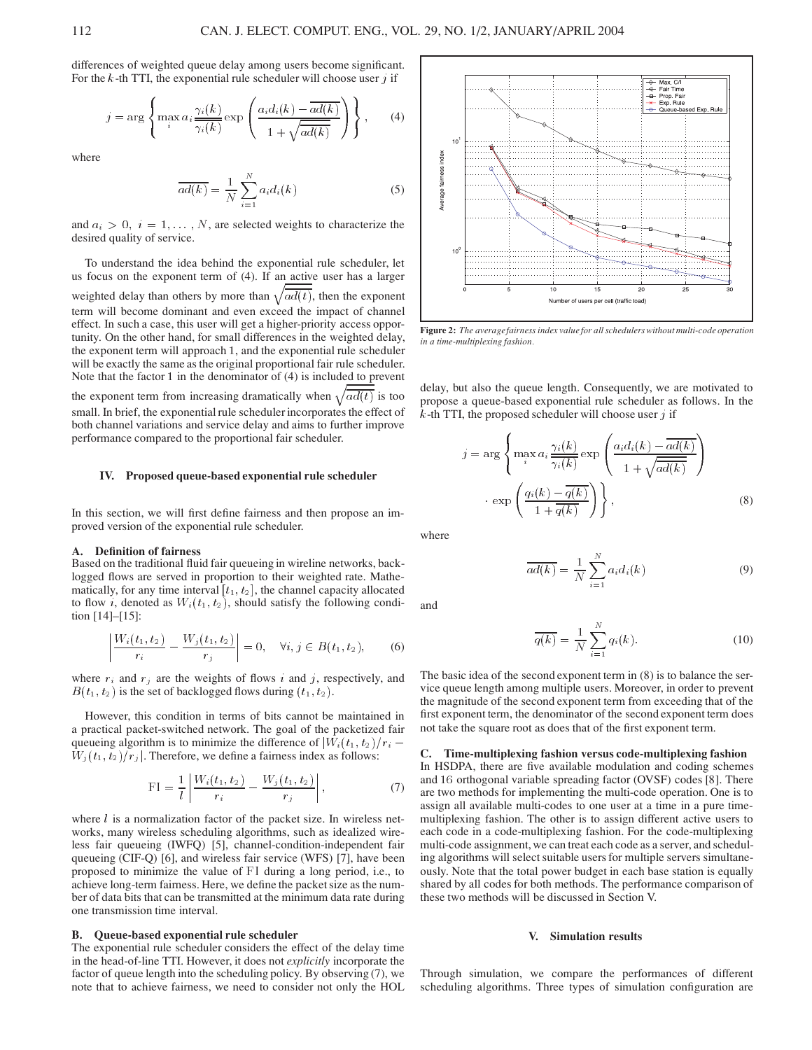differences of weighted queue delay among users become significant. For the  $k$ -th TTI, the exponential rule scheduler will choose user  $j$  if

$$
j = \arg \left\{ \max_{i} a_i \frac{\gamma_i(k)}{\gamma_i(k)} \exp \left( \frac{a_i d_i(k) - \overline{ad(k)}}{1 + \sqrt{ad(k)}} \right) \right\}, \quad (4)
$$

where

$$
\overline{ad(k)} = \frac{1}{N} \sum_{i=1}^{N} a_i d_i(k)
$$
\n(5)

and  $a_i > 0$ ,  $i = 1, \ldots, N$ , are selected weights to characterize the desired quality of service.

To understand the idea behind the exponential rule scheduler, let us focus on the exponent term of (4). If an active user has a larger weighted delay than others by more than  $\sqrt{\overline{ad(t)}}$ , then the exponent term will become dominant and even exceed the impact of channel effect. In such a case, this user will get a higher-priority access opportunity. On the other hand, for small differences in the weighted delay, the exponent term will approach 1, and the exponential rule scheduler will be exactly the same as the original proportional fair rule scheduler. Note that the factor  $1$  in the denominator of  $(4)$  is included to prevent

the exponent term from increasing dramatically when  $\sqrt{\overline{ad(t)}}$  is too small. In brief, the exponential rule scheduler incorporates the effect of both channel variations and service delay and aims to further improve performance compared to the proportional fair scheduler.

## **IV. Proposed queue-based exponential rule scheduler**

In this section, we will first define fairness and then propose an improved version of the exponential rule scheduler.

# **A. Definition of fairness**

Based on the traditional fluid fair queueing in wireline networks, backlogged flows are served in proportion to their weighted rate. Mathematically, for any time interval  $[t_1, t_2]$ , the channel capacity allocated to flow *i*, denoted as  $W_i(t_1, t_2)$ , should satisfy the following condition [14]–[15]:

$$
\left| \frac{W_i(t_1, t_2)}{r_i} - \frac{W_j(t_1, t_2)}{r_j} \right| = 0, \quad \forall i, j \in B(t_1, t_2), \quad (6)
$$

where  $r_i$  and  $r_j$  are the weights of flows i and j, respectively, and  $B(t_1, t_2)$  is the set of backlogged flows during  $(t_1, t_2)$ .

However, this condition in terms of bits cannot be maintained in a practical packet-switched network. The goal of the packetized fair queueing algorithm is to minimize the difference of  $|W_i(t_1, t_2)|r_i$  –  $W_j(t_1, t_2)/r_j$ . Therefore, we define a fairness index as follows:

$$
\text{FI} = \frac{1}{l} \left| \frac{W_i(t_1, t_2)}{r_i} - \frac{W_j(t_1, t_2)}{r_j} \right|,
$$
\n(7)

where  $l$  is a normalization factor of the packet size. In wireless networks, many wireless scheduling algorithms, such as idealized wireless fair queueing (IWFQ) [5], channel-condition-independent fair queueing (CIF-Q) [6], and wireless fair service (WFS) [7], have been proposed to minimize the value of FI during a long period, i.e., to achieve long-term fairness. Here, we define the packet size as the number of data bits that can be transmitted at the minimum data rate during one transmission time interval.

# **B. Queue-based exponential rule scheduler**

The exponential rule scheduler considers the effect of the delay time in the head-of-line TTI. However, it does not *explicitly* incorporate the factor of queue length into the scheduling policy. By observing (7), we note that to achieve fairness, we need to consider not only the HOL



**Figure 2:** *The averagefairness index value for all schedulers without multi-code operation in a time-multiplexing fashion.*

delay, but also the queue length. Consequently, we are motivated to propose a queue-based exponential rule scheduler as follows. In the  $k$ -th TTI, the proposed scheduler will choose user  $j$  if

$$
j = \arg \left\{ \max_{i} a_{i} \frac{\gamma_{i}(k)}{\gamma_{i}(k)} \exp \left( \frac{a_{i} d_{i}(k) - \overline{ad(k)}}{1 + \sqrt{\overline{ad(k)}}} \right) \right\}
$$

$$
\cdot \exp \left( \frac{q_{i}(k) - \overline{q(k)}}{1 + \overline{q(k)}} \right) \right\},
$$
(8)

where

$$
\overline{ad(k)} = \frac{1}{N} \sum_{i=1}^{N} a_i d_i(k)
$$
\n(9)

and

$$
\overline{q(k)} = \frac{1}{N} \sum_{i=1}^{N} q_i(k).
$$
 (10)

The basic idea of the second exponent term in (8) is to balance the service queue length among multiple users. Moreover, in order to prevent the magnitude of the second exponent term from exceeding that of the first exponent term, the denominator of the second exponent term does not take the square root as does that of the first exponent term.

#### **C. Time-multiplexing fashion versus code-multiplexing fashion**

In HSDPA, there are five available modulation and coding schemes and 16 orthogonal variable spreading factor (OVSF) codes [8]. There are two methods for implementing the multi-code operation. One is to assign all available multi-codes to one user at a time in a pure timemultiplexing fashion. The other is to assign different active users to each code in a code-multiplexing fashion. For the code-multiplexing multi-code assignment, we can treat each code as a server, and scheduling algorithms will select suitable users for multiple servers simultaneously. Note that the total power budget in each base station is equally shared by all codes for both methods. The performance comparison of these two methods will be discussed in Section V.

#### **V. Simulation results**

Through simulation, we compare the performances of different scheduling algorithms. Three types of simulation configuration are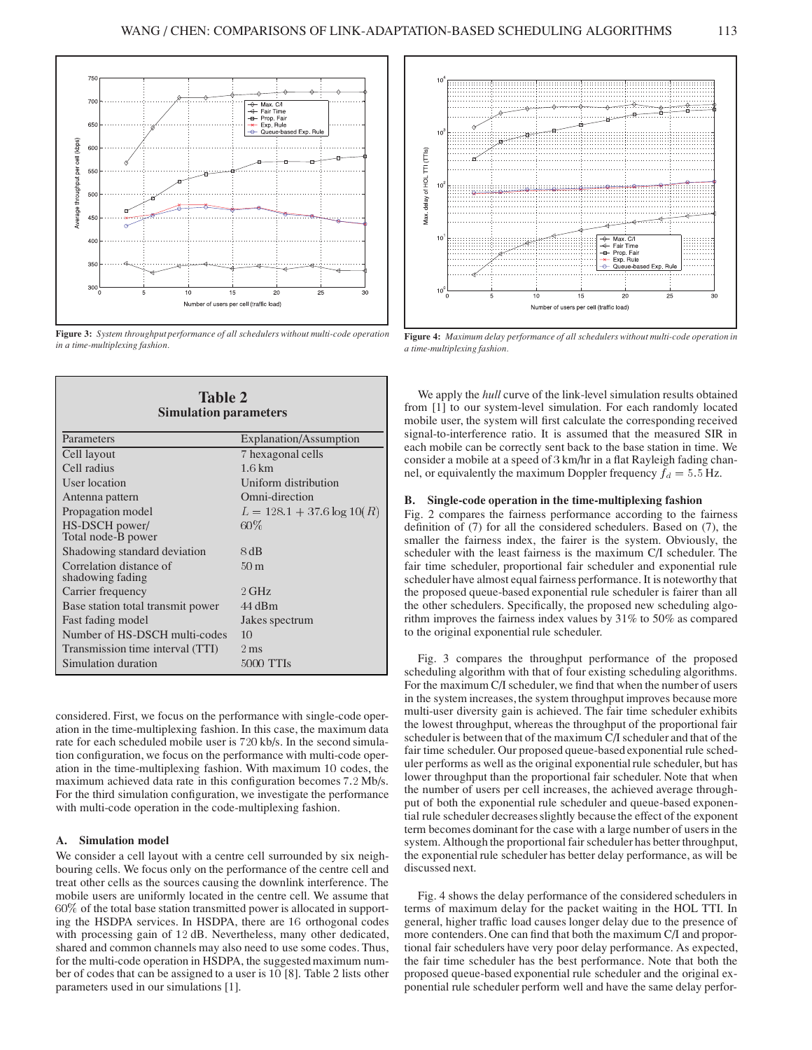

**Figure 3:** *System throughput performance of all schedulers without multi-code operation in a time-multiplexing fashion.*

| Table 2<br><b>Simulation parameters</b>     |                               |  |  |  |
|---------------------------------------------|-------------------------------|--|--|--|
| Parameters                                  | Explanation/Assumption        |  |  |  |
| Cell layout                                 | 7 hexagonal cells             |  |  |  |
| Cell radius                                 | $1.6 \mathrm{km}$             |  |  |  |
| User location                               | Uniform distribution          |  |  |  |
| Antenna pattern                             | Omni-direction                |  |  |  |
| Propagation model                           | $L = 128.1 + 37.6 \log 10(R)$ |  |  |  |
| HS-DSCH power/<br>Total node-B power        | 60%                           |  |  |  |
| Shadowing standard deviation                | 8 dB                          |  |  |  |
| Correlation distance of<br>shadowing fading | 50m                           |  |  |  |
| Carrier frequency                           | $2$ GHz                       |  |  |  |
| Base station total transmit power           | 44 dBm                        |  |  |  |
| Fast fading model                           | Jakes spectrum                |  |  |  |
| Number of HS-DSCH multi-codes               | 10                            |  |  |  |
| Transmission time interval (TTI)            | $2 \text{ ms}$                |  |  |  |
| Simulation duration                         | 5000 TTIs                     |  |  |  |

considered. First, we focus on the performance with single-code operation in the time-multiplexing fashion. In this case, the maximum data rate for each scheduled mobile user is  $720 \text{ kb/s}$ . In the second simulation configuration, we focus on the performance with multi-code operation in the time-multiplexing fashion. With maximum 10 codes, the maximum achieved data rate in this configuration becomes  $7.2$  Mb/s. For the third simulation configuration, we investigate the performance with multi-code operation in the code-multiplexing fashion.

## **A. Simulation model**

We consider a cell layout with a centre cell surrounded by six neighbouring cells. We focus only on the performance of the centre cell and treat other cells as the sources causing the downlink interference. The mobile users are uniformly located in the centre cell. We assume that 60% of the total base station transmitted power is allocated in supporting the HSDPA services. In HSDPA, there are 16 orthogonal codes with processing gain of 12 dB. Nevertheless, many other dedicated, shared and common channels may also need to use some codes. Thus, for the multi-code operation in HSDPA, the suggested maximum number of codes that can be assigned to a user is 10 [8]. Table 2 lists other parameters used in our simulations [1].



**Figure 4:** *Maximum delay performance of all schedulers without multi-code operation in a time-multiplexing fashion.*

We apply the *hull* curve of the link-level simulation results obtained from [1] to our system-level simulation. For each randomly located mobile user, the system will first calculate the corresponding received signal-to-interference ratio. It is assumed that the measured SIR in each mobile can be correctly sent back to the base station in time. We consider a mobile at a speed of  $3 \text{ km/hr}$  in a flat Rayleigh fading channel, or equivalently the maximum Doppler frequency  $f_d = 5.5$  Hz.

# **B. Single-code operation in the time-multiplexing fashion**

Fig. 2 compares the fairness performance according to the fairness definition of (7) for all the considered schedulers. Based on (7), the smaller the fairness index, the fairer is the system. Obviously, the scheduler with the least fairness is the maximum C/I scheduler. The fair time scheduler, proportional fair scheduler and exponential rule scheduler have almost equal fairness performance. It is noteworthy that the proposed queue-based exponential rule scheduler is fairer than all the other schedulers. Specifically, the proposed new scheduling algorithm improves the fairness index values by 31% to 50% as compared to the original exponential rule scheduler.

Fig. 3 compares the throughput performance of the proposed scheduling algorithm with that of four existing scheduling algorithms. For the maximum C/I scheduler, we find that when the number of users in the system increases, the system throughput improves because more multi-user diversity gain is achieved. The fair time scheduler exhibits the lowest throughput, whereas the throughput of the proportional fair scheduler is between that of the maximum C/I scheduler and that of the fair time scheduler. Our proposed queue-based exponential rule scheduler performs as well as the original exponential rule scheduler, but has lower throughput than the proportional fair scheduler. Note that when the number of users per cell increases, the achieved average throughput of both the exponential rule scheduler and queue-based exponential rule scheduler decreases slightly because the effect of the exponent term becomes dominant for the case with a large number of users in the system. Although the proportional fair scheduler has better throughput, the exponential rule scheduler has better delay performance, as will be discussed next.

Fig. 4 shows the delay performance of the considered schedulers in terms of maximum delay for the packet waiting in the HOL TTI. In general, higher traffic load causes longer delay due to the presence of more contenders. One can find that both the maximum C/I and proportional fair schedulers have very poor delay performance. As expected, the fair time scheduler has the best performance. Note that both the proposed queue-based exponential rule scheduler and the original exponential rule scheduler perform well and have the same delay perfor-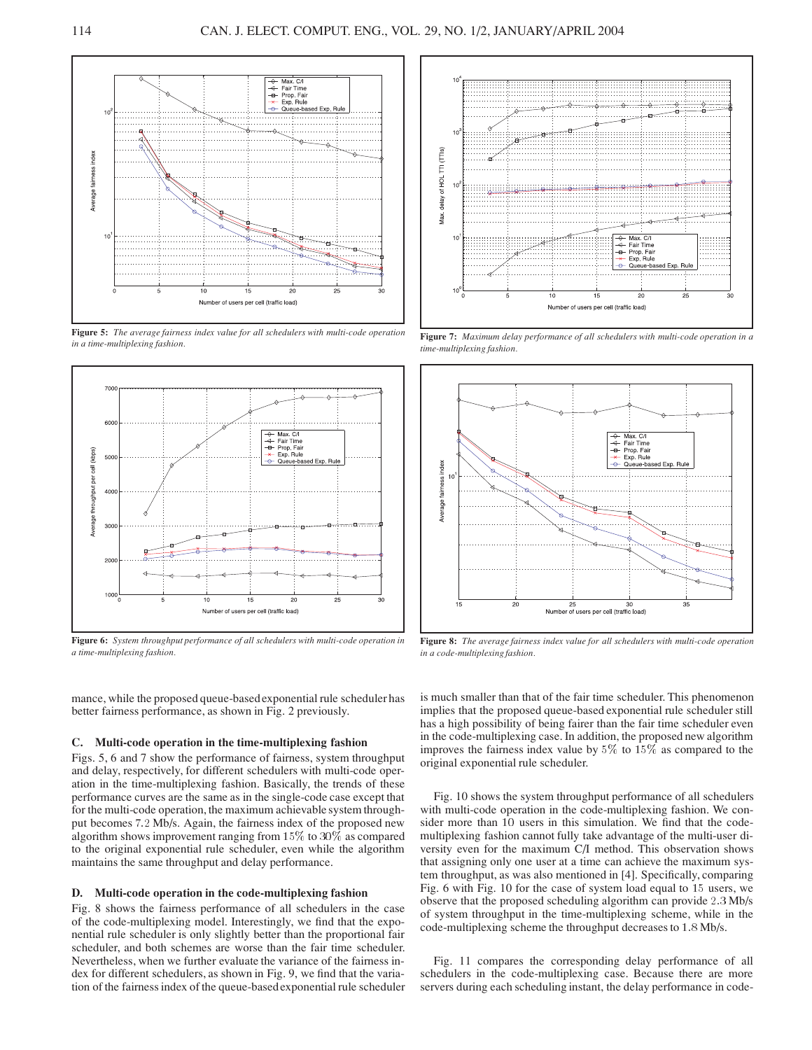

**Figure 5:** *The average fairness index value for all schedulers with multi-code operation in a time-multiplexing fashion.*



**Figure 6:** *System throughput performance of all schedulers with multi-code operation in a time-multiplexing fashion.*

mance, while the proposed queue-based exponential rule scheduler has better fairness performance, as shown in Fig. 2 previously.

## **C. Multi-code operation in the time-multiplexing fashion**

Figs. 5, 6 and 7 show the performance of fairness, system throughput and delay, respectively, for different schedulers with multi-code operation in the time-multiplexing fashion. Basically, the trends of these performance curves are the same as in the single-code case except that for the multi-code operation, the maximum achievable system throughput becomes 7.2 Mb/s. Again, the fairness index of the proposed new algorithm shows improvement ranging from  $15\%$  to  $30\%$  as compared to the original exponential rule scheduler, even while the algorithm maintains the same throughput and delay performance.

# **D. Multi-code operation in the code-multiplexing fashion**

Fig. 8 shows the fairness performance of all schedulers in the case of the code-multiplexing model. Interestingly, we find that the exponential rule scheduler is only slightly better than the proportional fair scheduler, and both schemes are worse than the fair time scheduler. Nevertheless, when we further evaluate the variance of the fairness index for different schedulers, as shown in Fig. 9, we find that the variation of the fairness index of the queue-based exponential rule scheduler



**Figure 7:** *Maximum delay performance of all schedulers with multi-code operation in a time-multiplexing fashion.*



**Figure 8:** *The average fairness index value for all schedulers with multi-code operation in a code-multiplexing fashion.*

is much smaller than that of the fair time scheduler. This phenomenon implies that the proposed queue-based exponential rule scheduler still has a high possibility of being fairer than the fair time scheduler even in the code-multiplexing case. In addition, the proposed new algorithm improves the fairness index value by  $5\%$  to  $15\%$  as compared to the original exponential rule scheduler.

Fig. 10 shows the system throughput performance of all schedulers with multi-code operation in the code-multiplexing fashion. We consider more than 10 users in this simulation. We find that the codemultiplexing fashion cannot fully take advantage of the multi-user diversity even for the maximum C/I method. This observation shows that assigning only one user at a time can achieve the maximum system throughput, as was also mentioned in [4]. Specifically, comparing Fig. 6 with Fig. 10 for the case of system load equal to 15 users, we observe that the proposed scheduling algorithm can provide  $2.3 \text{ Mb/s}$ of system throughput in the time-multiplexing scheme, while in the  $code-multiplexing scheme the throughput decreases to 1.8 Mb/s.$ 

Fig. 11 compares the corresponding delay performance of all schedulers in the code-multiplexing case. Because there are more servers during each scheduling instant, the delay performance in code-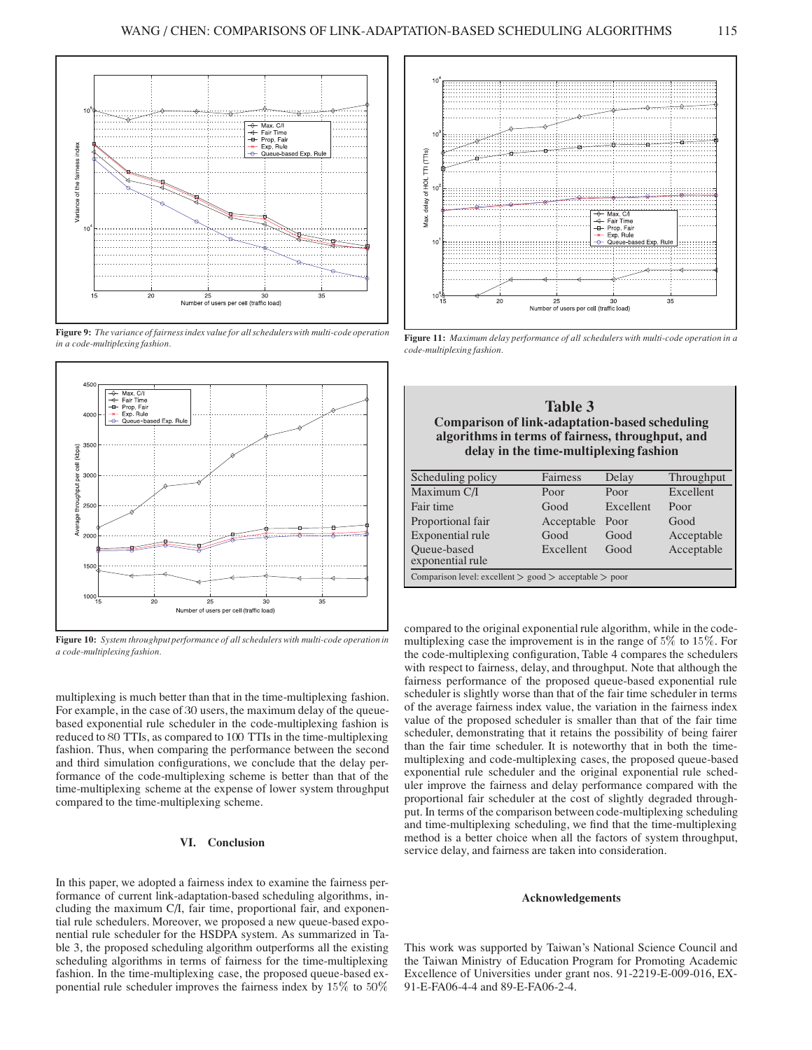

**Figure 9:** *The variance of fairness index value for all schedulerswith multi-code operation in a code-multiplexing fashion.*



**Figure 10:** *System throughput performance of all schedulers with multi-code operation in a code-multiplexing fashion.*

multiplexing is much better than that in the time-multiplexing fashion. For example, in the case of 30 users, the maximum delay of the queuebased exponential rule scheduler in the code-multiplexing fashion is reduced to 80 TTIs, as compared to 100 TTIs in the time-multiplexing fashion. Thus, when comparing the performance between the second and third simulation configurations, we conclude that the delay performance of the code-multiplexing scheme is better than that of the time-multiplexing scheme at the expense of lower system throughput compared to the time-multiplexing scheme.

# **VI. Conclusion**

In this paper, we adopted a fairness index to examine the fairness performance of current link-adaptation-based scheduling algorithms, including the maximum C/I, fair time, proportional fair, and exponential rule schedulers. Moreover, we proposed a new queue-based exponential rule scheduler for the HSDPA system. As summarized in Table 3, the proposed scheduling algorithm outperforms all the existing scheduling algorithms in terms of fairness for the time-multiplexing fashion. In the time-multiplexing case, the proposed queue-based exponential rule scheduler improves the fairness index by  $15\%$  to  $50\%$ 



**Figure 11:** *Maximum delay performance of all schedulers with multi-code operation in a code-multiplexing fashion.*

| Table 3                                          |
|--------------------------------------------------|
| Comparison of link-adaptation-based scheduling   |
| algorithms in terms of fairness, throughput, and |
| delay in the time-multiplexing fashion           |

| Scheduling policy                                      | Fairness   | Delay     | Throughput |  |  |
|--------------------------------------------------------|------------|-----------|------------|--|--|
| Maximum C/I                                            | Poor       | Poor      | Excellent  |  |  |
| Fair time                                              | Good       | Excellent | Poor       |  |  |
| Proportional fair                                      | Acceptable | Poor      | Good       |  |  |
| Exponential rule                                       | Good       | Good      | Acceptable |  |  |
| Queue-based<br>exponential rule                        | Excellent  | Good      | Acceptable |  |  |
| Comparison level: excellent > good > acceptable > poor |            |           |            |  |  |

compared to the original exponential rule algorithm, while in the codemultiplexing case the improvement is in the range of  $5\%$  to  $15\%$ . For the code-multiplexing configuration, Table 4 compares the schedulers with respect to fairness, delay, and throughput. Note that although the fairness performance of the proposed queue-based exponential rule scheduler is slightly worse than that of the fair time scheduler in terms of the average fairness index value, the variation in the fairness index value of the proposed scheduler is smaller than that of the fair time scheduler, demonstrating that it retains the possibility of being fairer than the fair time scheduler. It is noteworthy that in both the timemultiplexing and code-multiplexing cases, the proposed queue-based exponential rule scheduler and the original exponential rule scheduler improve the fairness and delay performance compared with the proportional fair scheduler at the cost of slightly degraded throughput. In terms of the comparison between code-multiplexing scheduling and time-multiplexing scheduling, we find that the time-multiplexing method is a better choice when all the factors of system throughput, service delay, and fairness are taken into consideration.

#### **Acknowledgements**

 91-E-FA06-4-4 and 89-E-FA06-2-4.This work was supported by Taiwan's National Science Council and the Taiwan Ministry of Education Program for Promoting Academic Excellence of Universities under grant nos. 91-2219-E-009-016, EX-